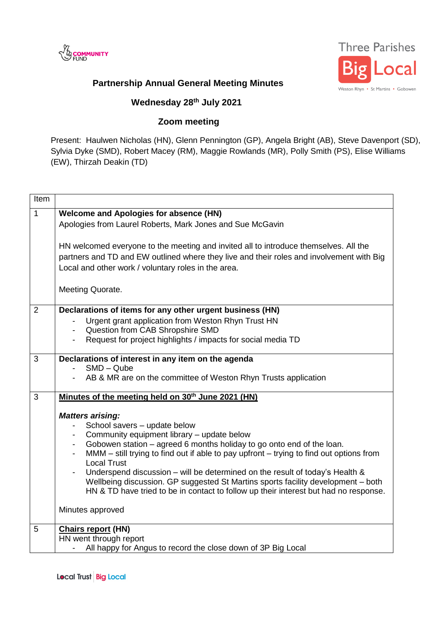



## **Partnership Annual General Meeting Minutes**

## **Wednesday 28th July 2021**

## **Zoom meeting**

Present: Haulwen Nicholas (HN), Glenn Pennington (GP), Angela Bright (AB), Steve Davenport (SD), Sylvia Dyke (SMD), Robert Macey (RM), Maggie Rowlands (MR), Polly Smith (PS), Elise Williams (EW), Thirzah Deakin (TD)

| Item             |                                                                                                                                                                                  |  |  |  |  |
|------------------|----------------------------------------------------------------------------------------------------------------------------------------------------------------------------------|--|--|--|--|
| $\mathbf{1}$     | Welcome and Apologies for absence (HN)<br>Apologies from Laurel Roberts, Mark Jones and Sue McGavin                                                                              |  |  |  |  |
|                  |                                                                                                                                                                                  |  |  |  |  |
|                  |                                                                                                                                                                                  |  |  |  |  |
|                  | HN welcomed everyone to the meeting and invited all to introduce themselves. All the<br>partners and TD and EW outlined where they live and their roles and involvement with Big |  |  |  |  |
|                  | Local and other work / voluntary roles in the area.                                                                                                                              |  |  |  |  |
|                  |                                                                                                                                                                                  |  |  |  |  |
| Meeting Quorate. |                                                                                                                                                                                  |  |  |  |  |
| $\overline{2}$   | Declarations of items for any other urgent business (HN)                                                                                                                         |  |  |  |  |
|                  | Urgent grant application from Weston Rhyn Trust HN                                                                                                                               |  |  |  |  |
|                  | Question from CAB Shropshire SMD                                                                                                                                                 |  |  |  |  |
|                  | Request for project highlights / impacts for social media TD                                                                                                                     |  |  |  |  |
| 3                | Declarations of interest in any item on the agenda                                                                                                                               |  |  |  |  |
|                  | $SMD - Qube$                                                                                                                                                                     |  |  |  |  |
|                  | AB & MR are on the committee of Weston Rhyn Trusts application                                                                                                                   |  |  |  |  |
| 3                | Minutes of the meeting held on 30 <sup>th</sup> June 2021 (HN)                                                                                                                   |  |  |  |  |
|                  | <b>Matters arising:</b>                                                                                                                                                          |  |  |  |  |
|                  | School savers - update below                                                                                                                                                     |  |  |  |  |
|                  | Community equipment library - update below                                                                                                                                       |  |  |  |  |
|                  | Gobowen station – agreed 6 months holiday to go onto end of the loan.<br>$\sim$ 10 $\pm$                                                                                         |  |  |  |  |
|                  | $MMM - still$ trying to find out if able to pay upfront $-$ trying to find out options from<br>$\blacksquare$<br><b>Local Trust</b>                                              |  |  |  |  |
|                  | Underspend discussion – will be determined on the result of today's Health &                                                                                                     |  |  |  |  |
|                  | Wellbeing discussion. GP suggested St Martins sports facility development - both                                                                                                 |  |  |  |  |
|                  | HN & TD have tried to be in contact to follow up their interest but had no response.                                                                                             |  |  |  |  |
|                  | Minutes approved                                                                                                                                                                 |  |  |  |  |
| 5                | <b>Chairs report (HN)</b>                                                                                                                                                        |  |  |  |  |
|                  | HN went through report                                                                                                                                                           |  |  |  |  |
|                  | All happy for Angus to record the close down of 3P Big Local                                                                                                                     |  |  |  |  |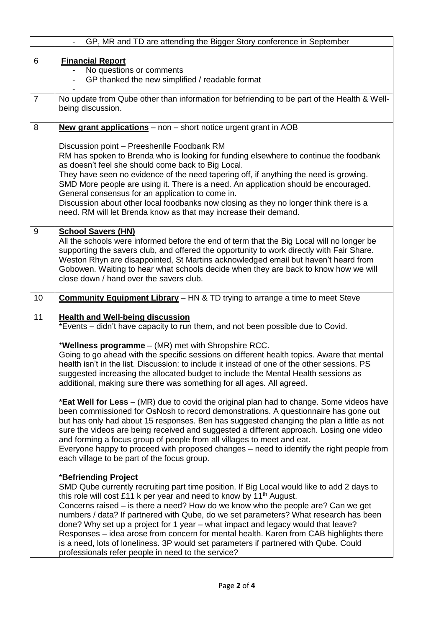|                | GP, MR and TD are attending the Bigger Story conference in September                                                                                                                                                                                                                                                                                                                                                                                                                                                                                                                                                                                                                                          |  |  |  |
|----------------|---------------------------------------------------------------------------------------------------------------------------------------------------------------------------------------------------------------------------------------------------------------------------------------------------------------------------------------------------------------------------------------------------------------------------------------------------------------------------------------------------------------------------------------------------------------------------------------------------------------------------------------------------------------------------------------------------------------|--|--|--|
| 6              | <b>Financial Report</b><br>No questions or comments<br>GP thanked the new simplified / readable format                                                                                                                                                                                                                                                                                                                                                                                                                                                                                                                                                                                                        |  |  |  |
| $\overline{7}$ | No update from Qube other than information for befriending to be part of the Health & Well-<br>being discussion.                                                                                                                                                                                                                                                                                                                                                                                                                                                                                                                                                                                              |  |  |  |
| 8              | New grant applications - non - short notice urgent grant in AOB                                                                                                                                                                                                                                                                                                                                                                                                                                                                                                                                                                                                                                               |  |  |  |
|                | Discussion point - Preeshenlle Foodbank RM<br>RM has spoken to Brenda who is looking for funding elsewhere to continue the foodbank<br>as doesn't feel she should come back to Big Local.<br>They have seen no evidence of the need tapering off, if anything the need is growing.<br>SMD More people are using it. There is a need. An application should be encouraged.<br>General consensus for an application to come in.<br>Discussion about other local foodbanks now closing as they no longer think there is a<br>need. RM will let Brenda know as that may increase their demand.                                                                                                                    |  |  |  |
| 9              | <b>School Savers (HN)</b><br>All the schools were informed before the end of term that the Big Local will no longer be                                                                                                                                                                                                                                                                                                                                                                                                                                                                                                                                                                                        |  |  |  |
|                | supporting the savers club, and offered the opportunity to work directly with Fair Share.<br>Weston Rhyn are disappointed, St Martins acknowledged email but haven't heard from<br>Gobowen. Waiting to hear what schools decide when they are back to know how we will<br>close down / hand over the savers club.                                                                                                                                                                                                                                                                                                                                                                                             |  |  |  |
| 10             | <b>Community Equipment Library</b> - HN & TD trying to arrange a time to meet Steve                                                                                                                                                                                                                                                                                                                                                                                                                                                                                                                                                                                                                           |  |  |  |
| 11             | <b>Health and Well-being discussion</b><br>*Events – didn't have capacity to run them, and not been possible due to Covid.                                                                                                                                                                                                                                                                                                                                                                                                                                                                                                                                                                                    |  |  |  |
|                | *Wellness programme - (MR) met with Shropshire RCC.<br>Going to go ahead with the specific sessions on different health topics. Aware that mental<br>health isn't in the list. Discussion: to include it instead of one of the other sessions. PS<br>suggested increasing the allocated budget to include the Mental Health sessions as<br>additional, making sure there was something for all ages. All agreed.                                                                                                                                                                                                                                                                                              |  |  |  |
|                | *Eat Well for Less – (MR) due to covid the original plan had to change. Some videos have<br>been commissioned for OsNosh to record demonstrations. A questionnaire has gone out<br>but has only had about 15 responses. Ben has suggested changing the plan a little as not<br>sure the videos are being received and suggested a different approach. Losing one video<br>and forming a focus group of people from all villages to meet and eat.<br>Everyone happy to proceed with proposed changes – need to identify the right people from<br>each village to be part of the focus group.                                                                                                                   |  |  |  |
|                | *Befriending Project<br>SMD Qube currently recruiting part time position. If Big Local would like to add 2 days to<br>this role will cost £11 k per year and need to know by 11 <sup>th</sup> August.<br>Concerns raised – is there a need? How do we know who the people are? Can we get<br>numbers / data? If partnered with Qube, do we set parameters? What research has been<br>done? Why set up a project for 1 year – what impact and legacy would that leave?<br>Responses – idea arose from concern for mental health. Karen from CAB highlights there<br>is a need, lots of loneliness. 3P would set parameters if partnered with Qube. Could<br>professionals refer people in need to the service? |  |  |  |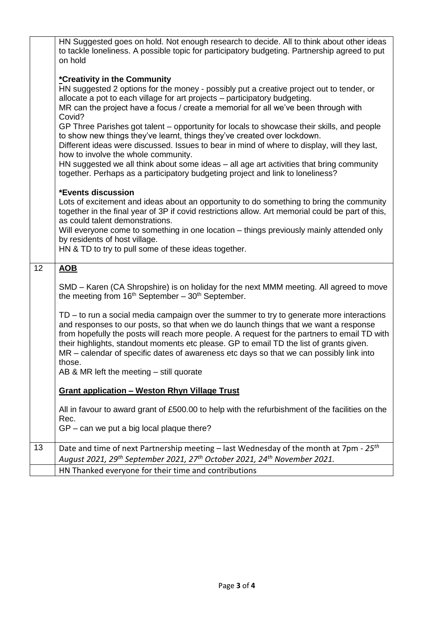|    | HN Suggested goes on hold. Not enough research to decide. All to think about other ideas<br>to tackle loneliness. A possible topic for participatory budgeting. Partnership agreed to put<br>on hold                                                                                                                                                                                                                                                                                                                                                                                                                    |
|----|-------------------------------------------------------------------------------------------------------------------------------------------------------------------------------------------------------------------------------------------------------------------------------------------------------------------------------------------------------------------------------------------------------------------------------------------------------------------------------------------------------------------------------------------------------------------------------------------------------------------------|
|    | *Creativity in the Community<br>HN suggested 2 options for the money - possibly put a creative project out to tender, or<br>allocate a pot to each village for art projects - participatory budgeting.<br>MR can the project have a focus / create a memorial for all we've been through with<br>Covid?<br>GP Three Parishes got talent – opportunity for locals to showcase their skills, and people<br>to show new things they've learnt, things they've created over lockdown.<br>Different ideas were discussed. Issues to bear in mind of where to display, will they last,<br>how to involve the whole community. |
|    | HN suggested we all think about some ideas - all age art activities that bring community<br>together. Perhaps as a participatory budgeting project and link to loneliness?                                                                                                                                                                                                                                                                                                                                                                                                                                              |
|    | *Events discussion<br>Lots of excitement and ideas about an opportunity to do something to bring the community<br>together in the final year of 3P if covid restrictions allow. Art memorial could be part of this,<br>as could talent demonstrations.<br>Will everyone come to something in one location - things previously mainly attended only<br>by residents of host village.<br>HN & TD to try to pull some of these ideas together.                                                                                                                                                                             |
| 12 | <b>AOB</b>                                                                                                                                                                                                                                                                                                                                                                                                                                                                                                                                                                                                              |
|    |                                                                                                                                                                                                                                                                                                                                                                                                                                                                                                                                                                                                                         |
|    | SMD - Karen (CA Shropshire) is on holiday for the next MMM meeting. All agreed to move<br>the meeting from $16th$ September – $30th$ September.                                                                                                                                                                                                                                                                                                                                                                                                                                                                         |
|    | TD – to run a social media campaign over the summer to try to generate more interactions<br>and responses to our posts, so that when we do launch things that we want a response<br>from hopefully the posts will reach more people. A request for the partners to email TD with<br>their highlights, standout moments etc please. GP to email TD the list of grants given.<br>MR - calendar of specific dates of awareness etc days so that we can possibly link into<br>those.                                                                                                                                        |
|    | AB & MR left the meeting - still quorate                                                                                                                                                                                                                                                                                                                                                                                                                                                                                                                                                                                |
|    | <b>Grant application - Weston Rhyn Village Trust</b>                                                                                                                                                                                                                                                                                                                                                                                                                                                                                                                                                                    |
|    | All in favour to award grant of £500.00 to help with the refurbishment of the facilities on the                                                                                                                                                                                                                                                                                                                                                                                                                                                                                                                         |
|    | Rec.<br>GP - can we put a big local plaque there?                                                                                                                                                                                                                                                                                                                                                                                                                                                                                                                                                                       |
| 13 | Date and time of next Partnership meeting – last Wednesday of the month at 7pm - $25th$<br>August 2021, 29 <sup>th</sup> September 2021, 27 <sup>th</sup> October 2021, 24 <sup>th</sup> November 2021.                                                                                                                                                                                                                                                                                                                                                                                                                 |